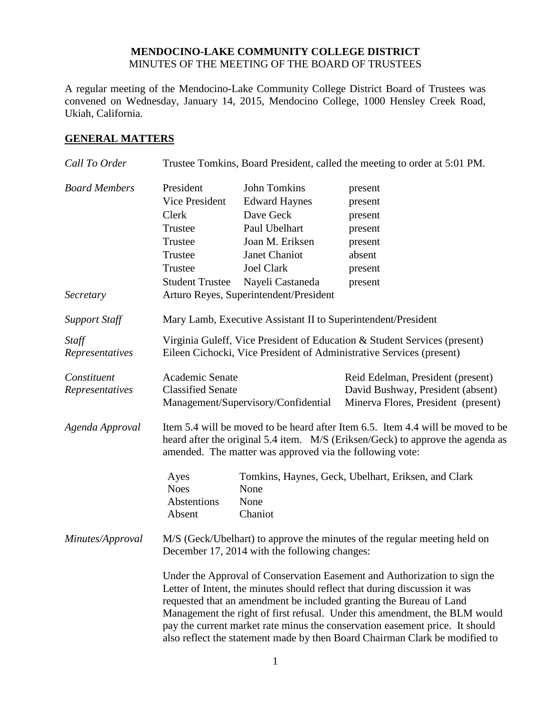#### **MENDOCINO-LAKE COMMUNITY COLLEGE DISTRICT** MINUTES OF THE MEETING OF THE BOARD OF TRUSTEES

A regular meeting of the Mendocino-Lake Community College District Board of Trustees was convened on Wednesday, January 14, 2015, Mendocino College, 1000 Hensley Creek Road, Ukiah, California.

#### **GENERAL MATTERS**

| Call To Order        | Trustee Tomkins, Board President, called the meeting to order at 5:01 PM.                                                                                                                                                                                                                                                                                                                                                                                                   |                                                               |                                                                           |
|----------------------|-----------------------------------------------------------------------------------------------------------------------------------------------------------------------------------------------------------------------------------------------------------------------------------------------------------------------------------------------------------------------------------------------------------------------------------------------------------------------------|---------------------------------------------------------------|---------------------------------------------------------------------------|
| <b>Board Members</b> | President                                                                                                                                                                                                                                                                                                                                                                                                                                                                   | <b>John Tomkins</b>                                           | present                                                                   |
|                      | Vice President                                                                                                                                                                                                                                                                                                                                                                                                                                                              | <b>Edward Haynes</b>                                          | present                                                                   |
|                      | Clerk                                                                                                                                                                                                                                                                                                                                                                                                                                                                       | Dave Geck                                                     | present                                                                   |
|                      | Trustee                                                                                                                                                                                                                                                                                                                                                                                                                                                                     | Paul Ubelhart                                                 | present                                                                   |
|                      | Trustee                                                                                                                                                                                                                                                                                                                                                                                                                                                                     | Joan M. Eriksen                                               | present                                                                   |
|                      | Trustee                                                                                                                                                                                                                                                                                                                                                                                                                                                                     | Janet Chaniot                                                 | absent                                                                    |
|                      | Trustee                                                                                                                                                                                                                                                                                                                                                                                                                                                                     | <b>Joel Clark</b>                                             | present                                                                   |
|                      | <b>Student Trustee</b>                                                                                                                                                                                                                                                                                                                                                                                                                                                      | Nayeli Castaneda                                              | present                                                                   |
| Secretary            |                                                                                                                                                                                                                                                                                                                                                                                                                                                                             | Arturo Reyes, Superintendent/President                        |                                                                           |
| <b>Support Staff</b> |                                                                                                                                                                                                                                                                                                                                                                                                                                                                             | Mary Lamb, Executive Assistant II to Superintendent/President |                                                                           |
| Staff                |                                                                                                                                                                                                                                                                                                                                                                                                                                                                             |                                                               | Virginia Guleff, Vice President of Education & Student Services (present) |
| Representatives      | Eileen Cichocki, Vice President of Administrative Services (present)                                                                                                                                                                                                                                                                                                                                                                                                        |                                                               |                                                                           |
| Constituent          | Academic Senate                                                                                                                                                                                                                                                                                                                                                                                                                                                             |                                                               | Reid Edelman, President (present)                                         |
| Representatives      | <b>Classified Senate</b>                                                                                                                                                                                                                                                                                                                                                                                                                                                    | Management/Supervisory/Confidential                           | David Bushway, President (absent)<br>Minerva Flores, President (present)  |
| Agenda Approval      | Item 5.4 will be moved to be heard after Item 6.5. Item 4.4 will be moved to be<br>heard after the original 5.4 item. M/S (Eriksen/Geck) to approve the agenda as<br>amended. The matter was approved via the following vote:                                                                                                                                                                                                                                               |                                                               |                                                                           |
|                      | Ayes                                                                                                                                                                                                                                                                                                                                                                                                                                                                        |                                                               | Tomkins, Haynes, Geck, Ubelhart, Eriksen, and Clark                       |
|                      | <b>Noes</b>                                                                                                                                                                                                                                                                                                                                                                                                                                                                 | None                                                          |                                                                           |
|                      | Abstentions                                                                                                                                                                                                                                                                                                                                                                                                                                                                 | None                                                          |                                                                           |
|                      | Absent                                                                                                                                                                                                                                                                                                                                                                                                                                                                      | Chaniot                                                       |                                                                           |
| Minutes/Approval     | M/S (Geck/Ubelhart) to approve the minutes of the regular meeting held on<br>December 17, 2014 with the following changes:                                                                                                                                                                                                                                                                                                                                                  |                                                               |                                                                           |
|                      | Under the Approval of Conservation Easement and Authorization to sign the<br>Letter of Intent, the minutes should reflect that during discussion it was<br>requested that an amendment be included granting the Bureau of Land<br>Management the right of first refusal. Under this amendment, the BLM would<br>pay the current market rate minus the conservation easement price. It should<br>also reflect the statement made by then Board Chairman Clark be modified to |                                                               |                                                                           |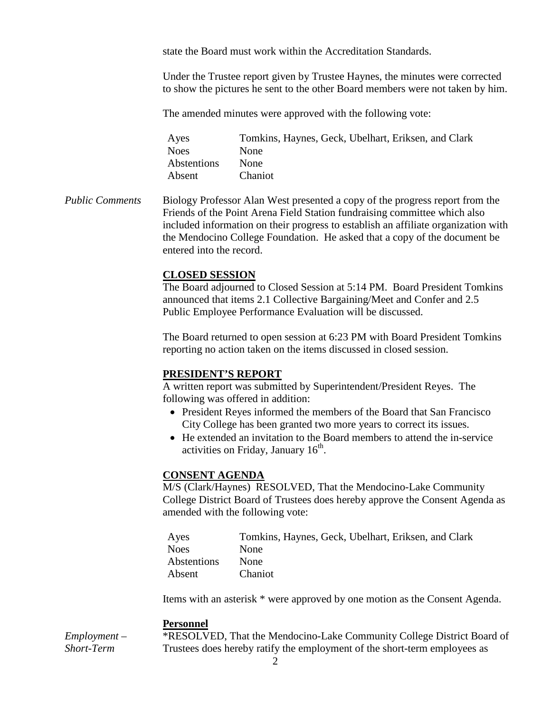state the Board must work within the Accreditation Standards.

Under the Trustee report given by Trustee Haynes, the minutes were corrected to show the pictures he sent to the other Board members were not taken by him.

The amended minutes were approved with the following vote:

| Ayes        | Tomkins, Haynes, Geck, Ubelhart, Eriksen, and Clark |
|-------------|-----------------------------------------------------|
| <b>Noes</b> | <b>None</b>                                         |
| Abstentions | <b>None</b>                                         |
| Absent      | Chaniot                                             |

*Public Comments* Biology Professor Alan West presented a copy of the progress report from the Friends of the Point Arena Field Station fundraising committee which also included information on their progress to establish an affiliate organization with the Mendocino College Foundation. He asked that a copy of the document be entered into the record.

#### **CLOSED SESSION**

The Board adjourned to Closed Session at 5:14 PM. Board President Tomkins announced that items 2.1 Collective Bargaining/Meet and Confer and 2.5 Public Employee Performance Evaluation will be discussed.

The Board returned to open session at 6:23 PM with Board President Tomkins reporting no action taken on the items discussed in closed session.

# **PRESIDENT'S REPORT**

A written report was submitted by Superintendent/President Reyes. The following was offered in addition:

- President Reyes informed the members of the Board that San Francisco City College has been granted two more years to correct its issues.
- He extended an invitation to the Board members to attend the in-service activities on Friday, January  $16<sup>th</sup>$ .

#### **CONSENT AGENDA**

M/S (Clark/Haynes) RESOLVED, That the Mendocino-Lake Community College District Board of Trustees does hereby approve the Consent Agenda as amended with the following vote:

| Ayes        | Tomkins, Haynes, Geck, Ubelhart, Eriksen, and Clark |
|-------------|-----------------------------------------------------|
| <b>Noes</b> | <b>None</b>                                         |
| Abstentions | <b>None</b>                                         |
| Absent      | <b>Chaniot</b>                                      |

Items with an asterisk \* were approved by one motion as the Consent Agenda.

#### **Personnel**

*Employment – Short-Term* 

\*RESOLVED, That the Mendocino-Lake Community College District Board of Trustees does hereby ratify the employment of the short-term employees as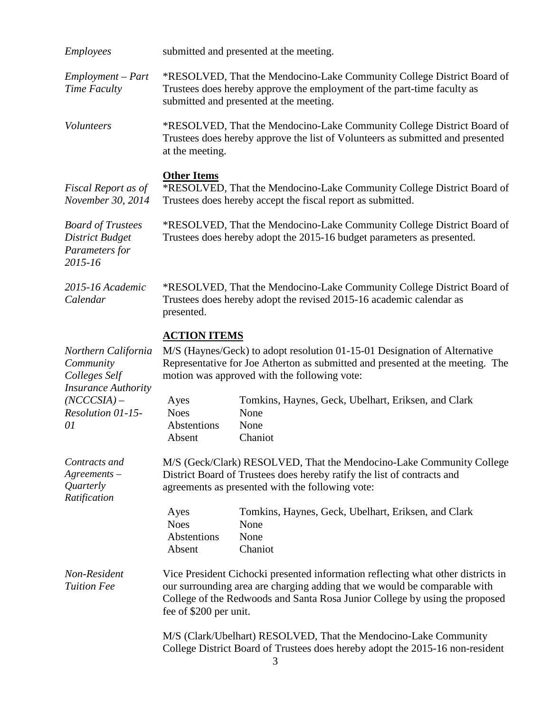| <b>Employees</b>                                                                                                            | submitted and presented at the meeting.                                                                                                                                                                                                                                |                                                                                                                                                                                              |
|-----------------------------------------------------------------------------------------------------------------------------|------------------------------------------------------------------------------------------------------------------------------------------------------------------------------------------------------------------------------------------------------------------------|----------------------------------------------------------------------------------------------------------------------------------------------------------------------------------------------|
| Employment – Part<br>Time Faculty                                                                                           |                                                                                                                                                                                                                                                                        | *RESOLVED, That the Mendocino-Lake Community College District Board of<br>Trustees does hereby approve the employment of the part-time faculty as<br>submitted and presented at the meeting. |
| <b>Volunteers</b>                                                                                                           | at the meeting.                                                                                                                                                                                                                                                        | *RESOLVED, That the Mendocino-Lake Community College District Board of<br>Trustees does hereby approve the list of Volunteers as submitted and presented                                     |
| Fiscal Report as of<br>November 30, 2014                                                                                    | <b>Other Items</b><br>*RESOLVED, That the Mendocino-Lake Community College District Board of<br>Trustees does hereby accept the fiscal report as submitted.                                                                                                            |                                                                                                                                                                                              |
| <b>Board of Trustees</b><br><b>District Budget</b><br>Parameters for<br>2015-16                                             | *RESOLVED, That the Mendocino-Lake Community College District Board of<br>Trustees does hereby adopt the 2015-16 budget parameters as presented.                                                                                                                       |                                                                                                                                                                                              |
| 2015-16 Academic<br>Calendar                                                                                                | *RESOLVED, That the Mendocino-Lake Community College District Board of<br>Trustees does hereby adopt the revised 2015-16 academic calendar as<br>presented.                                                                                                            |                                                                                                                                                                                              |
| Northern California<br>Community<br>Colleges Self<br><b>Insurance Authority</b><br>$(NCCCSIA) -$<br>Resolution 01-15-<br>01 | <b>ACTION ITEMS</b><br>M/S (Haynes/Geck) to adopt resolution 01-15-01 Designation of Alternative<br>Representative for Joe Atherton as submitted and presented at the meeting. The<br>motion was approved with the following vote:                                     |                                                                                                                                                                                              |
|                                                                                                                             | Ayes<br><b>Noes</b><br>Abstentions<br>Absent                                                                                                                                                                                                                           | Tomkins, Haynes, Geck, Ubelhart, Eriksen, and Clark<br>None<br>None<br>Chaniot                                                                                                               |
| Contracts and<br>$A$ greements $-$<br>Quarterly<br>Ratification                                                             | M/S (Geck/Clark) RESOLVED, That the Mendocino-Lake Community College<br>District Board of Trustees does hereby ratify the list of contracts and<br>agreements as presented with the following vote:                                                                    |                                                                                                                                                                                              |
|                                                                                                                             | Ayes<br><b>Noes</b><br>Abstentions<br>Absent                                                                                                                                                                                                                           | Tomkins, Haynes, Geck, Ubelhart, Eriksen, and Clark<br>None<br>None<br>Chaniot                                                                                                               |
| Non-Resident<br><b>Tuition Fee</b>                                                                                          | Vice President Cichocki presented information reflecting what other districts in<br>our surrounding area are charging adding that we would be comparable with<br>College of the Redwoods and Santa Rosa Junior College by using the proposed<br>fee of \$200 per unit. |                                                                                                                                                                                              |
|                                                                                                                             | M/S (Clark/Ubelhart) RESOLVED, That the Mendocino-Lake Community<br>College District Board of Trustees does hereby adopt the 2015-16 non-resident                                                                                                                      |                                                                                                                                                                                              |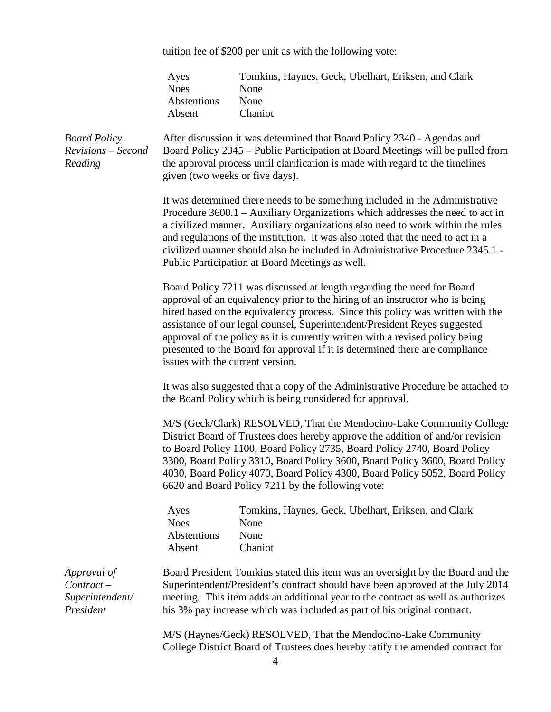tuition fee of \$200 per unit as with the following vote:

|                                                             | Ayes<br><b>Noes</b><br>Abstentions<br>Absent                                                                                                                                                                                                                                                                                                                                                                                                                                                                               | Tomkins, Haynes, Geck, Ubelhart, Eriksen, and Clark<br>None<br>None<br>Chaniot                                                                                                                                                                                                                                                   |  |
|-------------------------------------------------------------|----------------------------------------------------------------------------------------------------------------------------------------------------------------------------------------------------------------------------------------------------------------------------------------------------------------------------------------------------------------------------------------------------------------------------------------------------------------------------------------------------------------------------|----------------------------------------------------------------------------------------------------------------------------------------------------------------------------------------------------------------------------------------------------------------------------------------------------------------------------------|--|
| <b>Board Policy</b><br>Revisions - Second<br>Reading        | After discussion it was determined that Board Policy 2340 - Agendas and<br>Board Policy 2345 – Public Participation at Board Meetings will be pulled from<br>the approval process until clarification is made with regard to the timelines<br>given (two weeks or five days).                                                                                                                                                                                                                                              |                                                                                                                                                                                                                                                                                                                                  |  |
|                                                             | It was determined there needs to be something included in the Administrative<br>Procedure 3600.1 – Auxiliary Organizations which addresses the need to act in<br>a civilized manner. Auxiliary organizations also need to work within the rules<br>and regulations of the institution. It was also noted that the need to act in a<br>civilized manner should also be included in Administrative Procedure 2345.1 -<br>Public Participation at Board Meetings as well.                                                     |                                                                                                                                                                                                                                                                                                                                  |  |
|                                                             | Board Policy 7211 was discussed at length regarding the need for Board<br>approval of an equivalency prior to the hiring of an instructor who is being<br>hired based on the equivalency process. Since this policy was written with the<br>assistance of our legal counsel, Superintendent/President Reyes suggested<br>approval of the policy as it is currently written with a revised policy being<br>presented to the Board for approval if it is determined there are compliance<br>issues with the current version. |                                                                                                                                                                                                                                                                                                                                  |  |
|                                                             | It was also suggested that a copy of the Administrative Procedure be attached to<br>the Board Policy which is being considered for approval.                                                                                                                                                                                                                                                                                                                                                                               |                                                                                                                                                                                                                                                                                                                                  |  |
|                                                             | M/S (Geck/Clark) RESOLVED, That the Mendocino-Lake Community College<br>District Board of Trustees does hereby approve the addition of and/or revision<br>to Board Policy 1100, Board Policy 2735, Board Policy 2740, Board Policy<br>3300, Board Policy 3310, Board Policy 3600, Board Policy 3600, Board Policy<br>4030, Board Policy 4070, Board Policy 4300, Board Policy 5052, Board Policy<br>6620 and Board Policy 7211 by the following vote:                                                                      |                                                                                                                                                                                                                                                                                                                                  |  |
|                                                             | Ayes<br><b>Noes</b><br>Abstentions<br>Absent                                                                                                                                                                                                                                                                                                                                                                                                                                                                               | Tomkins, Haynes, Geck, Ubelhart, Eriksen, and Clark<br>None<br>None<br>Chaniot                                                                                                                                                                                                                                                   |  |
| Approval of<br>$Contract -$<br>Superintendent/<br>President |                                                                                                                                                                                                                                                                                                                                                                                                                                                                                                                            | Board President Tomkins stated this item was an oversight by the Board and the<br>Superintendent/President's contract should have been approved at the July 2014<br>meeting. This item adds an additional year to the contract as well as authorizes<br>his 3% pay increase which was included as part of his original contract. |  |
|                                                             |                                                                                                                                                                                                                                                                                                                                                                                                                                                                                                                            | M/S (Haynes/Geck) RESOLVED, That the Mendocino-Lake Community<br>College District Board of Trustees does hereby ratify the amended contract for                                                                                                                                                                                  |  |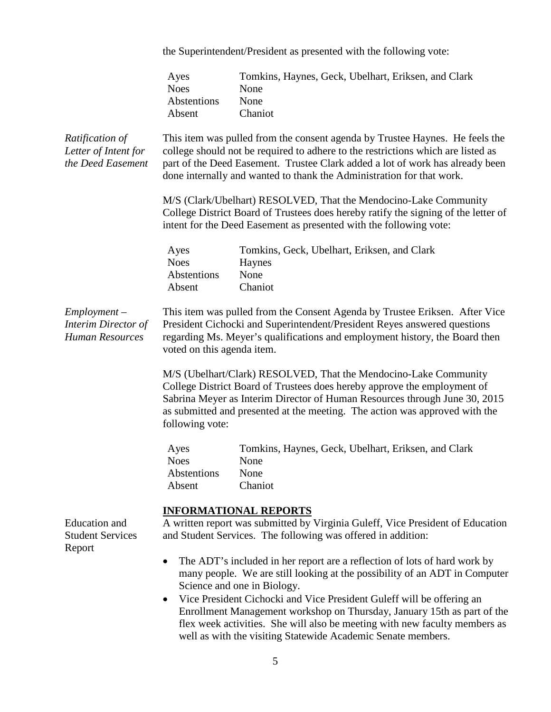the Superintendent/President as presented with the following vote:

|                                                                        | Ayes<br><b>Noes</b><br>Abstentions<br>Absent                                                                                                                                                                                                                         | Tomkins, Haynes, Geck, Ubelhart, Eriksen, and Clark<br>None<br>None<br>Chaniot                                                                                                                                                                                                                                                             |  |
|------------------------------------------------------------------------|----------------------------------------------------------------------------------------------------------------------------------------------------------------------------------------------------------------------------------------------------------------------|--------------------------------------------------------------------------------------------------------------------------------------------------------------------------------------------------------------------------------------------------------------------------------------------------------------------------------------------|--|
| Ratification of<br>Letter of Intent for<br>the Deed Easement           |                                                                                                                                                                                                                                                                      | This item was pulled from the consent agenda by Trustee Haynes. He feels the<br>college should not be required to adhere to the restrictions which are listed as<br>part of the Deed Easement. Trustee Clark added a lot of work has already been<br>done internally and wanted to thank the Administration for that work.                 |  |
|                                                                        | M/S (Clark/Ubelhart) RESOLVED, That the Mendocino-Lake Community<br>College District Board of Trustees does hereby ratify the signing of the letter of<br>intent for the Deed Easement as presented with the following vote:                                         |                                                                                                                                                                                                                                                                                                                                            |  |
|                                                                        | Ayes<br><b>Noes</b><br>Abstentions<br>Absent                                                                                                                                                                                                                         | Tomkins, Geck, Ubelhart, Eriksen, and Clark<br>Haynes<br>None<br>Chaniot                                                                                                                                                                                                                                                                   |  |
| $Employment -$<br><b>Interim Director of</b><br><b>Human Resources</b> | This item was pulled from the Consent Agenda by Trustee Eriksen. After Vice<br>President Cichocki and Superintendent/President Reyes answered questions<br>regarding Ms. Meyer's qualifications and employment history, the Board then<br>voted on this agenda item. |                                                                                                                                                                                                                                                                                                                                            |  |
|                                                                        | following vote:                                                                                                                                                                                                                                                      | M/S (Ubelhart/Clark) RESOLVED, That the Mendocino-Lake Community<br>College District Board of Trustees does hereby approve the employment of<br>Sabrina Meyer as Interim Director of Human Resources through June 30, 2015<br>as submitted and presented at the meeting. The action was approved with the                                  |  |
|                                                                        | Ayes<br><b>Noes</b><br>Abstentions<br>Absent                                                                                                                                                                                                                         | Tomkins, Haynes, Geck, Ubelhart, Eriksen, and Clark<br>None<br><b>None</b><br>Chaniot                                                                                                                                                                                                                                                      |  |
| <b>Education</b> and<br><b>Student Services</b><br>Report              | <b>INFORMATIONAL REPORTS</b><br>A written report was submitted by Virginia Guleff, Vice President of Education<br>and Student Services. The following was offered in addition:                                                                                       |                                                                                                                                                                                                                                                                                                                                            |  |
|                                                                        | $\bullet$                                                                                                                                                                                                                                                            | The ADT's included in her report are a reflection of lots of hard work by<br>many people. We are still looking at the possibility of an ADT in Computer<br>Science and one in Biology.<br>Vice President Cichocki and Vice President Guleff will be offering an<br>Enrollment Management workshop on Thursday, January 15th as part of the |  |

5

flex week activities. She will also be meeting with new faculty members as

well as with the visiting Statewide Academic Senate members.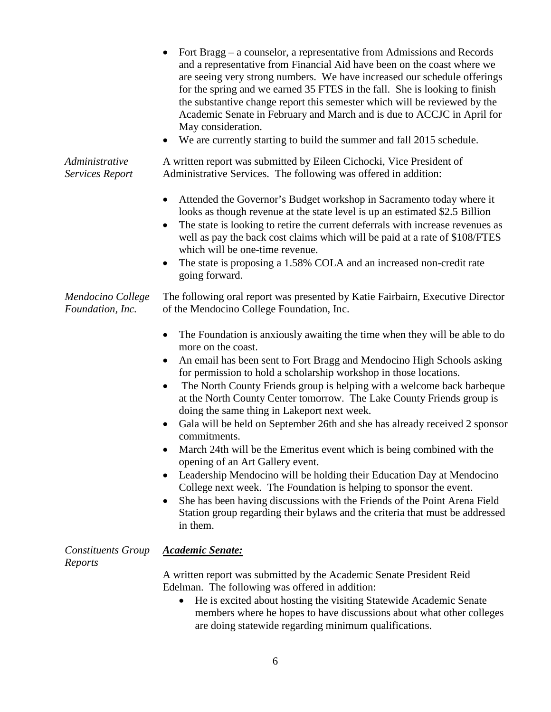|                                          | Fort Bragg – a counselor, a representative from Admissions and Records<br>and a representative from Financial Aid have been on the coast where we<br>are seeing very strong numbers. We have increased our schedule offerings<br>for the spring and we earned 35 FTES in the fall. She is looking to finish<br>the substantive change report this semester which will be reviewed by the<br>Academic Senate in February and March and is due to ACCJC in April for<br>May consideration.<br>We are currently starting to build the summer and fall 2015 schedule.                                                                                                                                                                                                                                                                                                                                                                                                                                                            |
|------------------------------------------|------------------------------------------------------------------------------------------------------------------------------------------------------------------------------------------------------------------------------------------------------------------------------------------------------------------------------------------------------------------------------------------------------------------------------------------------------------------------------------------------------------------------------------------------------------------------------------------------------------------------------------------------------------------------------------------------------------------------------------------------------------------------------------------------------------------------------------------------------------------------------------------------------------------------------------------------------------------------------------------------------------------------------|
| Administrative<br><b>Services Report</b> | A written report was submitted by Eileen Cichocki, Vice President of<br>Administrative Services. The following was offered in addition:                                                                                                                                                                                                                                                                                                                                                                                                                                                                                                                                                                                                                                                                                                                                                                                                                                                                                      |
|                                          | Attended the Governor's Budget workshop in Sacramento today where it<br>looks as though revenue at the state level is up an estimated \$2.5 Billion<br>The state is looking to retire the current deferrals with increase revenues as<br>well as pay the back cost claims which will be paid at a rate of \$108/FTES<br>which will be one-time revenue.<br>The state is proposing a 1.58% COLA and an increased non-credit rate<br>going forward.                                                                                                                                                                                                                                                                                                                                                                                                                                                                                                                                                                            |
| Mendocino College<br>Foundation, Inc.    | The following oral report was presented by Katie Fairbairn, Executive Director<br>of the Mendocino College Foundation, Inc.                                                                                                                                                                                                                                                                                                                                                                                                                                                                                                                                                                                                                                                                                                                                                                                                                                                                                                  |
|                                          | The Foundation is anxiously awaiting the time when they will be able to do<br>$\bullet$<br>more on the coast.<br>An email has been sent to Fort Bragg and Mendocino High Schools asking<br>for permission to hold a scholarship workshop in those locations.<br>The North County Friends group is helping with a welcome back barbeque<br>$\bullet$<br>at the North County Center tomorrow. The Lake County Friends group is<br>doing the same thing in Lakeport next week.<br>Gala will be held on September 26th and she has already received 2 sponsor<br>$\bullet$<br>commitments.<br>March 24th will be the Emeritus event which is being combined with the<br>opening of an Art Gallery event.<br>Leadership Mendocino will be holding their Education Day at Mendocino<br>College next week. The Foundation is helping to sponsor the event.<br>She has been having discussions with the Friends of the Point Arena Field<br>Station group regarding their bylaws and the criteria that must be addressed<br>in them. |
| <b>Constituents Group</b><br>Reports     | <b>Academic Senate:</b><br>A written report was submitted by the Academic Senate President Reid<br>Edelman. The following was offered in addition:<br>He is excited about hosting the visiting Statewide Academic Senate<br>$\bullet$                                                                                                                                                                                                                                                                                                                                                                                                                                                                                                                                                                                                                                                                                                                                                                                        |

6

members where he hopes to have discussions about what other colleges

are doing statewide regarding minimum qualifications.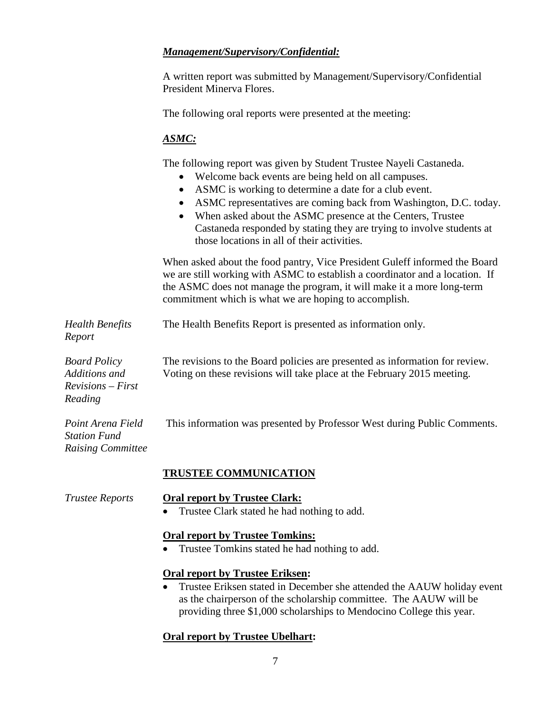# *Management/Supervisory/Confidential:*

A written report was submitted by Management/Supervisory/Confidential President Minerva Flores.

The following oral reports were presented at the meeting:

### *ASMC:*

The following report was given by Student Trustee Nayeli Castaneda.

- Welcome back events are being held on all campuses.
- ASMC is working to determine a date for a club event.
- ASMC representatives are coming back from Washington, D.C. today.
- When asked about the ASMC presence at the Centers, Trustee Castaneda responded by stating they are trying to involve students at those locations in all of their activities.

When asked about the food pantry, Vice President Guleff informed the Board we are still working with ASMC to establish a coordinator and a location. If the ASMC does not manage the program, it will make it a more long-term commitment which is what we are hoping to accomplish.

*Health Benefits Report* The Health Benefits Report is presented as information only. *Board Policy Additions and Revisions – First*  The revisions to the Board policies are presented as information for review. Voting on these revisions will take place at the February 2015 meeting.

This information was presented by Professor West during Public Comments.

*Station Fund Raising Committee*

*Point Arena Field* 

# **TRUSTEE COMMUNICATION**

*Reading*

#### *Trustee Reports* **Oral report by Trustee Clark:**

• Trustee Clark stated he had nothing to add.

# **Oral report by Trustee Tomkins:**

• Trustee Tomkins stated he had nothing to add.

# **Oral report by Trustee Eriksen:**

• Trustee Eriksen stated in December she attended the AAUW holiday event as the chairperson of the scholarship committee. The AAUW will be providing three \$1,000 scholarships to Mendocino College this year.

# **Oral report by Trustee Ubelhart:**